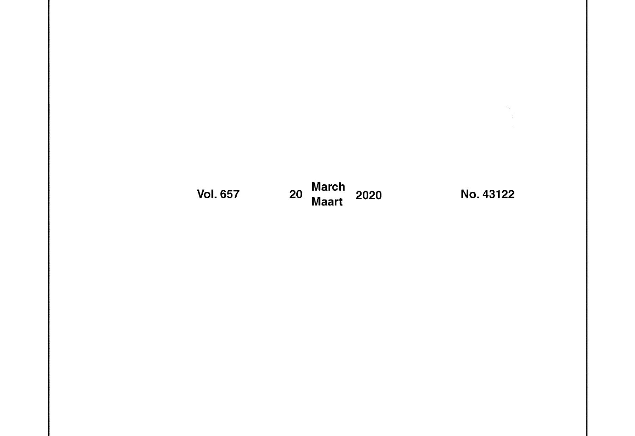# Vol. 657 20 March 2020 No. 43122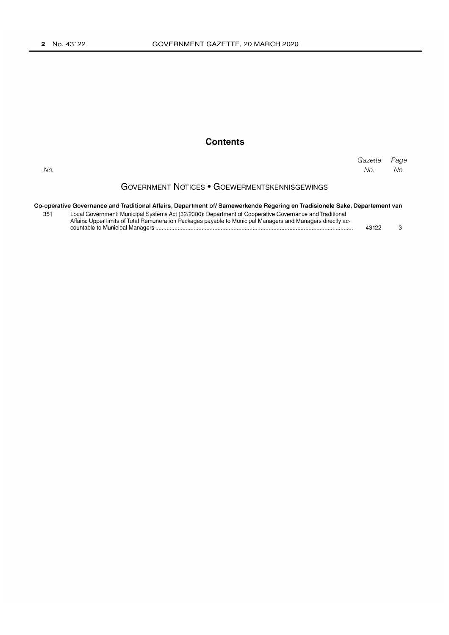# **Contents**

Gazette Page No. No. No.

# **GOVERNMENT NOTICES • GOEWERMENTSKENNISGEWINGS**

|     | Co-operative Governance and Traditional Affairs, Department of/ Samewerkende Regering en Tradisionele Sake, Departement van |
|-----|-----------------------------------------------------------------------------------------------------------------------------|
| 351 | Local Government: Municipal Systems Act (32/2000): Department of Cooperative Governance and Traditional                     |

| Affairs: Upper limits of Total Remuneration Packages payable to Municipal Managers and Managers directly ac- |       |  |
|--------------------------------------------------------------------------------------------------------------|-------|--|
| countable to Municipal Managers                                                                              | 43122 |  |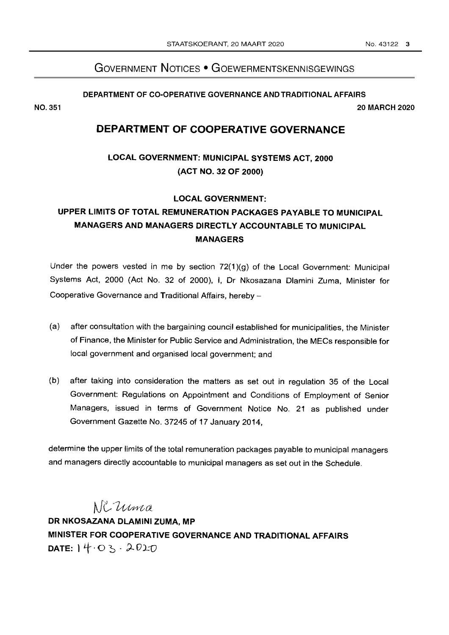# GOVERNMENT NOTICES • GOEWERMENTSKENNISGEWINGS

## DEPARTMENT OF CO-OPERATIVE GOVERNANCE AND TRADITIONAL AFFAIRS

20 MARCH 2020

# DEPARTMENT OF COOPERATIVE GOVERNANCE

# LOCAL GOVERNMENT: MUNICIPAL SYSTEMS ACT, 2000 (ACT NO. 32 OF 2000)

# LOCAL GOVERNMENT: UPPER LIMITS OF TOTAL REMUNERATION PACKAGES PAYABLE TO MUNICIPAL MANAGERS AND MANAGERS DIRECTLY ACCOUNTABLE TO MUNICIPAL MANAGERS

Under the powers vested in me by section  $72(1)(g)$  of the Local Government: Municipal Systems Act, 2000 (Act No. 32 of 2000), I, Dr Nkosazana Dlamini Zuma, Minister for Cooperative Governance and Traditional Affairs, hereby -

- (a) after consultation with the bargaining council established for municipalities, the Minister of Finance, the Minister for Public Service and Administration, the MECs responsible for local government and organised local government; and
- (b) after taking into consideration the matters as set out in regulation 35 of the Local Government: Regulations on Appointment and Conditions of Employment of Senior Managers, issued in terms of Government Notice No. 21 as published under Government Gazette No. 37245 of 17 January 2014,

determine the upper limits of the total remuneration packages payable to municipal managers and managers directly accountable to municipal managers as set out in the Schedule.

# tJ(, *'uv)/vta*

DR NKOSAZANA DLAMINI ZUMA, MP MINISTER FOR COOPERATIVE GOVERNANCE AND TRADITIONAL AFFAIRS DATE:  $14.03.2020$ 

NO. 351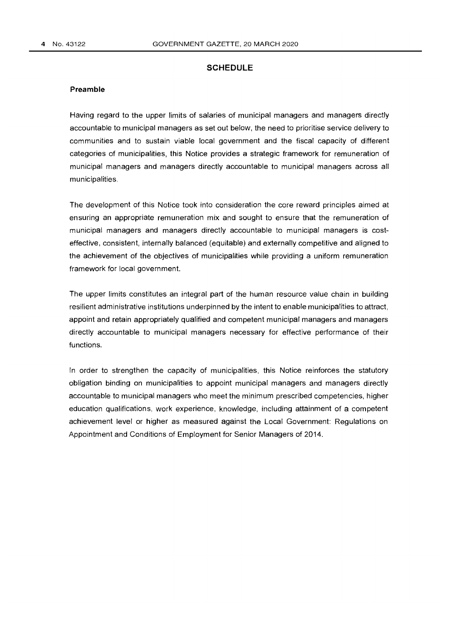## **SCHEDULE**

## **Preamble**

Having regard to the upper limits of salaries of municipal managers and managers directly accountable to municipal managers as set out below, the need to prioritise service delivery to communities and to sustain viable local government and the fiscal capacity of different categories of municipalities, this Notice provides a strategic framework for remuneration of municipal managers and managers directly accountable to municipal managers across all municipalities.

The development of this Notice took into consideration the core reward principles aimed at ensuring an appropriate remuneration mix and sought to ensure that the remuneration of municipal managers and managers directly accountable to municipal managers is costeffective, consistent, internally balanced (equitable) and externally competitive and aligned to the achievement of the objectives of municipalities while providing a uniform remuneration framework for local government.

The upper limits constitutes an integral part of the human resource value chain in building resilient administrative institutions underpinned by the intent to enable municipalities to attract, appoint and retain appropriately qualified and competent municipal managers and managers directly accountable to municipal managers necessary for effective performance of their functions.

In order to strengthen the capacity of municipalities, this Notice reinforces the statutory obligation binding on municipalities to appoint municipal managers and managers directly accountable to municipal managers who meet the minimum prescribed competencies, higher education qualifications, work experience, knowledge, including attainment of a competent achievement level or higher as measured against the Local Government: Regulations on Appointment and Conditions of Employment for Senior Managers of 2014.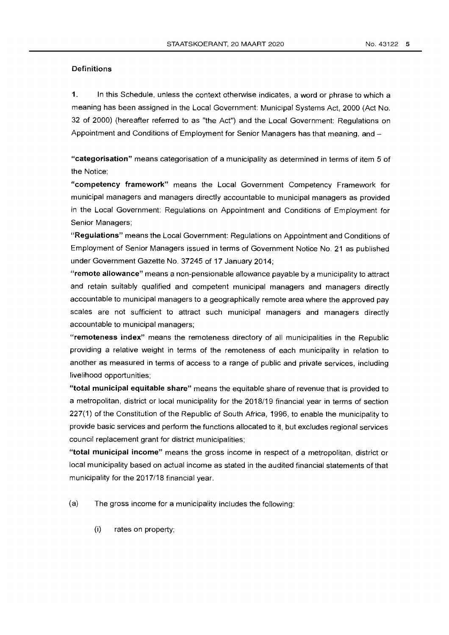#### Definitions

1. In this Schedule, unless the context otherwise indicates, a word or phrase to which a meaning has been assigned in the Local Government: Municipal Systems Act, 2000 (Act No. 32 of 2000) (hereafter referred to as "the Act") and the Local Government: Regulations on Appointment and Conditions of Employment for Senior Managers has that meaning, and -

"categorisation" means categorisation of a municipality as determined in terms of item 5 of the Notice;

"competency framework" means the Local Government Competency Framework for municipal managers and managers directly accountable to municipal managers as provided in the Local Government: Regulations on Appointment and Conditions of Employment for Senior Managers;

"Regulations" means the Local Government: Regulations on Appointment and Conditions of Employment of Senior Managers issued in terms of Government Notice No. 21 as published under Government Gazette No. 37245 of 17 January 2014;

"remote allowance" means a non-pensionable allowance payable by a municipality to attract and retain suitably qualified and competent municipal managers and managers directly accountable to municipal managers to a geographically remote area where the approved pay scales are not sufficient to attract such municipal managers and managers directly accountable to municipal managers;

"remoteness index" means the remoteness directory of all municipalities in the Republic providing a relative weight in terms of the remoteness of each municipality in relation to another as measured in terms of access to a range of public and private services, including livelihood opportunities;

"total municipal equitable share" means the equitable share of revenue that is provided to a metropolitan, district or local municipality for the 2018/19 financial year in terms of section 227(1) of the Constitution of the Republic of South Africa, 1996, to enable the municipality to provide basic services and perform the functions allocated to it. but excludes regional services council replacement grant for district municipalities;

"total municipal income" means the gross income in respect of a metropolitan, district or local municipality based on actual income as stated in the audited financial statements of that municipality for the 2017/18 financial year.

(a) The gross income for a municipality includes the following:

(i) rates on property;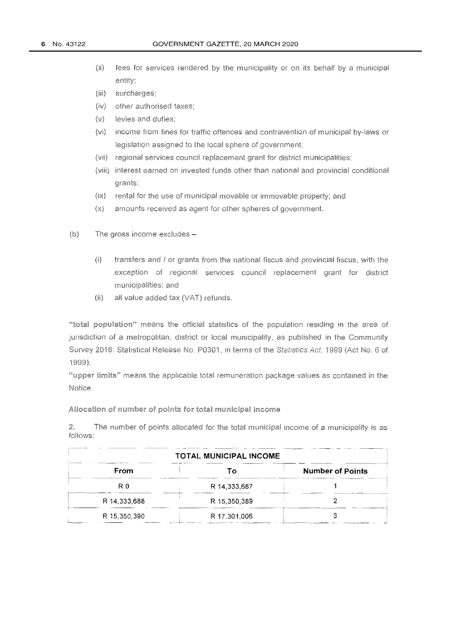- $(ii)$ fees for services rendered by the municipality or on its behalf by a entity:
- surcharges;  $(iii)$
- other authorised taxes;  $(iv)$
- $(v)$ levies and duties:
- $(vi)$ income from fines for traffic offences and contravention of municipal by-laws or legislation assigned to the local sphere of government;
- (vii) regional services council replacement grant for district municipalities;
- (viii) interest earned on invested funds other than national and provincial conditional grants;
- $(ix)$ rental for the use of municipal movable or immovable property; and
- amounts received as agent for other spheres of  $(x)$
- $(b)$ The gross income excludes  $-$ 
	- $(i)$ transfers and / or grants from the national fiscus and provincial fiscus, with the of regional services council replacement grant for district municipalities; and
	- $(ii)$ all value added tax (VAT) refunds.

means the official statistics of the population residing in the area of of a metropolitan, district or local municipality, as published in the Survey 2016: Statistical Release No. P0301, in terms of the Statistics Act, 1999 (Act No. 6 of 1999):

Notice. "upper limits" means the applicable total remuneration package values as contained in the

Allocation of number of points for total municipal income

2. The number of points allocated for the total municipal income of a municipality is as follows:

| <b>TOTAL MUNICIPAL INCOME</b> |              |                         |  |
|-------------------------------|--------------|-------------------------|--|
| From                          |              | <b>Number of Points</b> |  |
| R 0                           | R 14,333,687 |                         |  |
| R 14,333,688                  | R 15,350,389 |                         |  |
| R 15,350,390                  | R 17,301,006 |                         |  |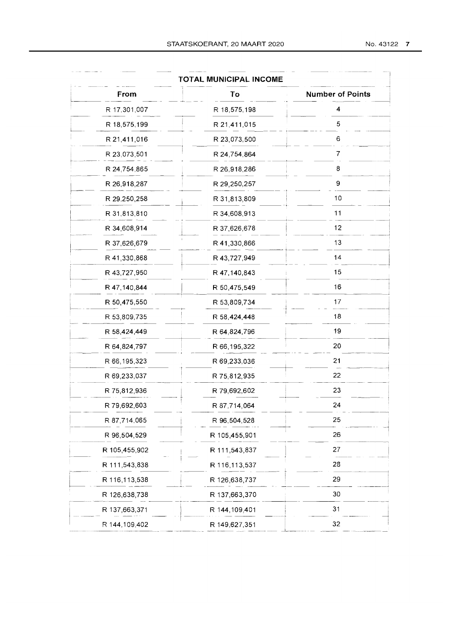|  | No. 43122 |  |
|--|-----------|--|
|--|-----------|--|

|                | <b>TOTAL MUNICIPAL INCOME</b> |                         |
|----------------|-------------------------------|-------------------------|
| From           | To                            | <b>Number of Points</b> |
| R 17,301,007   | R 18,575,198                  | 4                       |
| R 18,575,199   | R 21,411,015                  | 5                       |
| R 21,411,016   | R 23,073,500                  | 6                       |
| R 23,073,501   | R 24,754,864                  | 7                       |
| R 24,754,865   | R 26,918,286                  | 8                       |
| R 26,918,287   | R 29,250,257                  | 9                       |
| R 29,250,258   | R 31,813,809                  | 10                      |
| R 31,813,810   | R 34,608,913                  | 11                      |
| R 34,608,914   | R 37,626,678                  | 12                      |
| R 37,626,679   | R 41,330,866                  | 13                      |
| R 41,330,868   | R 43,727,949                  | 14                      |
| R 43,727,950   | R 47, 140, 843                | 15                      |
| R 47, 140, 844 | R 50,475,549                  | 16                      |
| R 50,475,550   | R 53,809,734                  | 17                      |
| R 53,809,735   | R 58,424,448                  | 18                      |
| R 58,424,449   | R 64,824,796                  | 19                      |
| R 64,824,797   | R 66, 195, 322                | 20                      |
| R 66, 195, 323 | R 69,233,036                  | 21                      |
| R 69,233,037   | R 75,812,935                  | 22                      |
| R 75,812,936   | R 79,692,602                  | 23                      |
| R 79,692,603   | R 87,714,064                  | 24                      |
| R 87,714,065   | R 96,504,528                  | 25                      |
| R 96,504,529   | R 105,455,901                 | 26                      |
| R 105,455,902  | R 111,543,837                 | 27                      |
| R 111,543,838  | R 116,113,537                 | 28                      |
| R 116,113,538  | R 126,638,737                 | 29                      |
| R 126,638,738  | R 137,663,370                 | 30                      |
| R 137,663,371  | R 144,109,401                 | 31                      |
| R 144,109,402  | R 149,627,351                 | 32                      |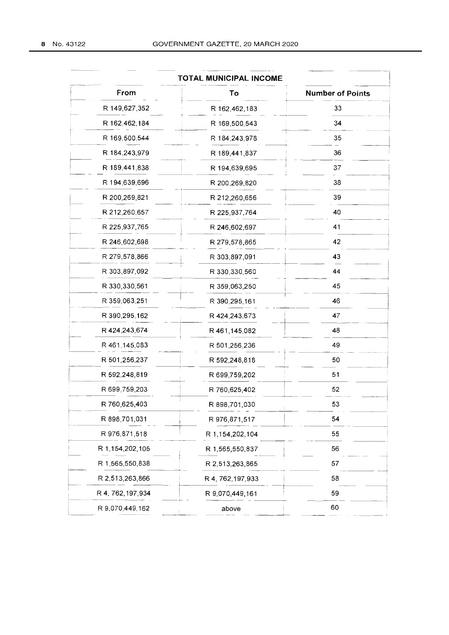|                    | TOTAL MUNICIPAL INCOME |                         |
|--------------------|------------------------|-------------------------|
| From               | To                     | <b>Number of Points</b> |
| R 149,627,352      | R 162,462,183          | 33                      |
| R 162,462,184      | R 169,500,543          | 34                      |
| R 169,500,544      | R 184, 243, 978        | 35                      |
| R 184,243,979      | R 189,441,837          | 36                      |
| R 189,441,838      | R 194,639,695          | 37                      |
| R 194,639,696      | R 200,269,820          | 38                      |
| R 200,269,821      | R 212,260,656          | 39                      |
| R 212,260,657      | R 225,937,764          | 40                      |
| R 225,937,765      | R 246,602,697          | 41                      |
| R 246,602,698      | R 279,578,865          | 42                      |
| R 279,578,866      | R 303,897,091          | 43                      |
| R 303,897,092      | R 330, 330, 560        | 44                      |
| R 330, 330, 561    | R 359,063,250          | 45                      |
| R 359,063,251      | R 390, 295, 161        | 46                      |
| R 390,295,162      | R 424,243,673          | 47                      |
| R 424,243,674      | R 461,145,082          | 48                      |
| R 461,145,083      | R 501,256,236          | 49                      |
| R 501,256,237      | R 592,248,818          | 50                      |
| R 592,248,819      | R 699,759,202          | 51                      |
| R 699,759,203      | R 760,625,402          | 52                      |
| R 760,625,403      | R 898.701.030          | 53                      |
| R 898,701,031      | R 976,871,517          | 54                      |
| R 976,871,518      | R 1,154,202,104        | 55                      |
| R 1,154,202,105    | R 1,565,550,837        | 56                      |
| R 1,565,550,838    | R 2,513,263,865        | 57                      |
| R 2,513,263,866    | R 4, 762, 197, 933     | 58                      |
| R 4, 762, 197, 934 | R 9,070,449,161        | 59                      |
| R 9,070,449,162    | above                  | 60                      |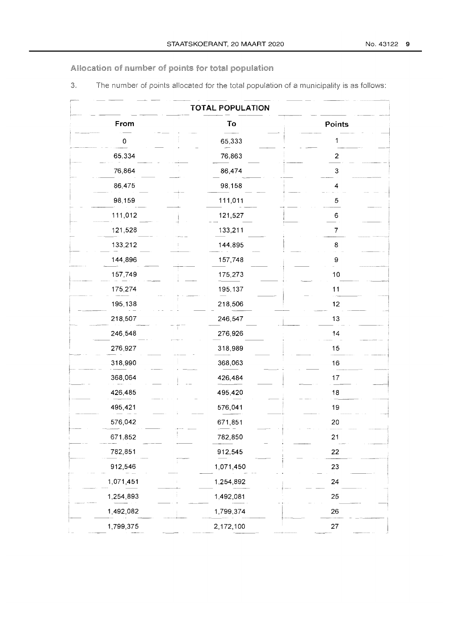Allocation of number of points for total population

The number of points allocated for the total population of a municipality is as follows: 3.

| <b>TOTAL POPULATION</b> |               |                           |  |  |
|-------------------------|---------------|---------------------------|--|--|
| From                    | To            | Points                    |  |  |
| 0                       | 65,333        |                           |  |  |
| 65,334                  | 76,863        | $\overline{\mathbf{c}}$   |  |  |
| 76,864                  | 86,474        | $\ensuremath{\mathsf{3}}$ |  |  |
| 86,475                  | 98,158        | 4                         |  |  |
| 98,159                  | 111,011       | 5                         |  |  |
| 111,012                 | 121,527       | 6                         |  |  |
| 121,528                 | 133,211       | 7                         |  |  |
| 133,212                 | 144,895       | 8                         |  |  |
| 144,896                 | 157,748       | 9                         |  |  |
| 157,749                 | 175,273       | 10                        |  |  |
| 175,274                 | 195,137       | 11                        |  |  |
| 195,138                 | 218,506       | 12                        |  |  |
| 218,507                 | 246,547       | 13                        |  |  |
| 246,548                 | ÷.<br>276,926 | 14                        |  |  |
| 276,927                 | 318,989       | 15                        |  |  |
| 318,990                 | 368,063       | 16                        |  |  |
| 368,064                 | 426,484       | 17                        |  |  |
| 426,485                 | 495,420       | 18                        |  |  |
| 495,421                 | 576,041       | 19                        |  |  |
| 576,042                 | 671,851       | 20                        |  |  |
| 671,852                 | 782,850       | 21                        |  |  |
| 782,851                 | 912,545       | 22                        |  |  |
| 912,546                 | 1,071,450     | 23                        |  |  |
| 1,071,451               | 1,254,892     | 24                        |  |  |
| 1,254,893               | 1,492,081     | 25                        |  |  |
| 1,492,082               | 1,799,374     | 26                        |  |  |
| 1,799,375               | 2,172,100     | 27                        |  |  |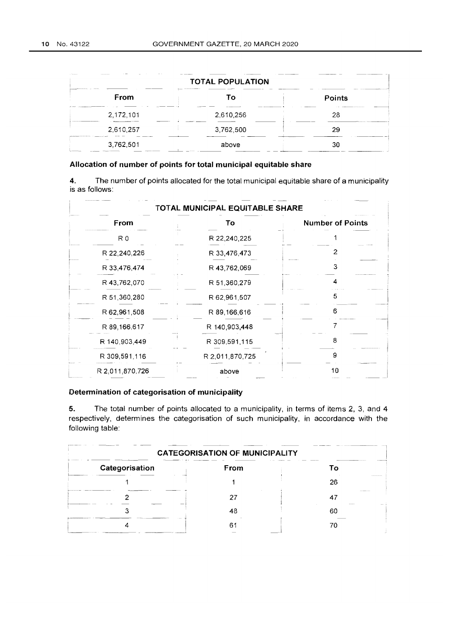| and the property of<br><b><i><u>Property</u></i></b><br><b>TOTAL POPULATION</b> |           |                                                       |
|---------------------------------------------------------------------------------|-----------|-------------------------------------------------------|
| <b>From</b>                                                                     | Τо        | <b>Points</b>                                         |
| 2,172,101                                                                       | 2,610,256 | <b>COMPANY AND RESIDENCE OF A REAL PROPERTY</b><br>28 |
| 2,610,257<br>_______________________                                            | 3,762,500 | 29                                                    |
| 3,762,501                                                                       | above     | 30                                                    |

# **Allocation of number of points for total municipal equitable share**

4. The number of points allocated for the total municipal equitable share of a municipality is as follows:

| TOTAL MUNICIPAL EQUITABLE SHARE |                 |                         |  |
|---------------------------------|-----------------|-------------------------|--|
| From                            | To              | <b>Number of Points</b> |  |
| R0                              | R 22,240,225    |                         |  |
| R 22,240,226                    | R 33,476,473    |                         |  |
| R 33,476,474                    | R 43,762,069    | з                       |  |
| R 43,762,070                    | R 51,360,279    |                         |  |
| R 51,360,280                    | R 62,961,507    | 5                       |  |
| R 62,961,508                    | R 89,166,616    | 6                       |  |
| R 89,166,617                    | R 140,903,448   |                         |  |
| R 140,903,449                   | R 309,591,115   | 8                       |  |
| R 309,591,116                   | R 2,011,870,725 | 9                       |  |
| R 2,011,870,726                 | above           | 10                      |  |

## **Determination of categorisation of municipality**

**5.** The total number of points allocated to a municipality, in terms of items 2, 3, and 4 respectively, determines the categorisation of such municipality, in accordance with the following table:

| <b>CATEGORISATION OF MUNICIPALITY</b> |      |    |  |
|---------------------------------------|------|----|--|
| Categorisation                        | From |    |  |
|                                       |      | 26 |  |
|                                       |      | 4  |  |
|                                       | 48   | 60 |  |
|                                       | ค    |    |  |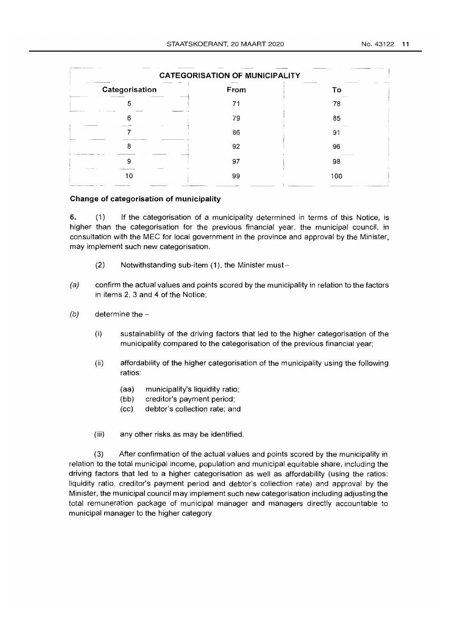| No. 43122 | 11 |
|-----------|----|
|           |    |

| <b>CATEGORISATION OF MUNICIPALITY</b> |      |     |  |
|---------------------------------------|------|-----|--|
| Categorisation                        | From | Τо  |  |
|                                       | 71   | 78  |  |
|                                       | 79   | 85  |  |
|                                       | 86   | 91  |  |
| 8                                     | 92   | 96  |  |
| 9                                     | 97   | 98  |  |
| 10                                    | 99   | 100 |  |

#### **Change of categorisation of municipality**

6. (1) If the categorisation of a municipality determined in terms of this Notice, is higher than the categorisation for the previous financial year, the municipal council, in consultation with the MEC for local government in the province and approval by the Minister, may implement such new categorisation.

- $(2)$  Notwithstanding sub-item  $(1)$ , the Minister must -
- (a) confirm the actual values and points scored by the municipality in relation to the factors in items 2, 3 and 4 of the Notice;
- (b) determine the  $-$ 
	- (i) sustainability of the driving factors that led to the higher categorisation of the municipality compared to the categorisation of the previous financial year;
	- (ii) affordability of the higher categorisation of the municipality using the following ratios:
		- (aa) municipality's liquidity ratio;
		- (bb) creditor's payment period;
		- (cc) debtor's collection rate; and
	- (iii) any other risks as may be identified.

(3) After confirmation of the actual values and points scored by the municipality in relation to the total municipal income, population and municipal equitable share, including the driving factors that led to a higher categorisation as well as affordability (using the ratios: liquidity ratio, creditor's payment period and debtor's collection rate) and approval by the Minister, the municipal council may implement such new categorisation including adjusting the total remuneration package of municipal manager and managers directly accountable to municipal manager to the higher category.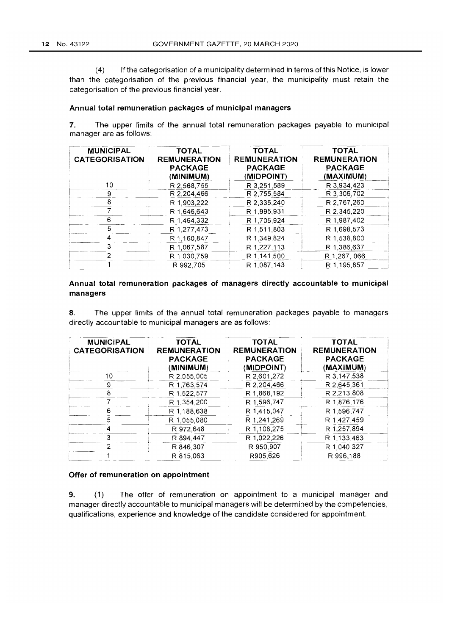(4) If the categorisation of a municipality determined in terms of this Notice, is lower than the categorisation of the previous financial year, the municipality must retain the categorisation of the previous financial year.

#### Annual total remuneration packages of municipal managers

7. The upper limits of the annual total remuneration packages payable to municipal manager are as follows:

| <b>MUNICIPAL</b><br><b>CATEGORISATION</b> | <b>TOTAL</b><br><b>REMUNERATION</b><br><b>PACKAGE</b><br>(MINIMUM) | <b>TOTAL</b><br><b>REMUNERATION</b><br><b>PACKAGE</b><br>(MIDPOINT) | <b>TOTAL</b><br><b>REMUNERATION</b><br><b>PACKAGE</b><br>(MAXIMUM) |
|-------------------------------------------|--------------------------------------------------------------------|---------------------------------------------------------------------|--------------------------------------------------------------------|
| 10                                        | R 2,568,755                                                        | R 3,251,589                                                         | R 3,934,423                                                        |
| 9                                         | R 2,204,466                                                        | R 2,755,584                                                         | R 3,306,702                                                        |
|                                           | R 1,903,222                                                        | R 2,335,240                                                         | R 2,767,260                                                        |
|                                           | R 1,646,643                                                        | R 1,995,931                                                         | R 2,345,220                                                        |
| 6                                         | R 1.464,332                                                        | R 1,705,924                                                         | R 1,987,402                                                        |
| 5                                         | R 1,277,473                                                        | R 1,511,803                                                         | R 1,698,573                                                        |
|                                           | R 1,160,847                                                        | R 1,349,824                                                         | R 1,538,800                                                        |
|                                           | R 1,067,587                                                        | R 1,227,113                                                         | R 1,386,637                                                        |
|                                           | R 1 030,759                                                        | R 1,141,500                                                         | R 1.267, 066                                                       |
|                                           | R 992.705                                                          | R 1,087,143                                                         | R 1.195,857                                                        |

## Annual total remuneration packages of managers directly accountable to municipal managers

8. The upper limits of the annual total remuneration packages payable to managers directly accountable to municipal managers are as follows:

| <b>MUNICIPAL</b><br><b>CATEGORISATION</b> | <b>TOTAL</b><br><b>REMUNERATION</b><br><b>PACKAGE</b><br>(MINIMUM) | <b>TOTAL</b><br><b>REMUNERATION</b><br><b>PACKAGE</b><br>(MIDPOINT) | <b>TOTAL</b><br><b>REMUNERATION</b><br><b>PACKAGE</b><br>(MAXIMUM) |
|-------------------------------------------|--------------------------------------------------------------------|---------------------------------------------------------------------|--------------------------------------------------------------------|
| 10                                        | R 2.055.005                                                        | R 2,601,272                                                         | R 3, 147, 538                                                      |
| 9                                         | R 1.763.574                                                        | R 2.204,466                                                         | R 2,645,361                                                        |
|                                           | R 1,522,577                                                        | R 1.868.192                                                         | R 2,213,808                                                        |
|                                           | R 1.354,200                                                        | R 1,596,747                                                         | R 1,876,176                                                        |
|                                           | R 1.188,638                                                        | R 1,415,047                                                         | R 1,596,747                                                        |
|                                           | R 1.055.080                                                        | R 1,241,269                                                         | R 1,427,459                                                        |
|                                           | R 972,648                                                          | R 1.108.275                                                         | R 1,257,894                                                        |
| 3                                         | R 894,447                                                          | R 1,022,226                                                         | R 1,133,463                                                        |
|                                           | R 846, 307                                                         | R 950,907                                                           | R 1,040,327                                                        |
|                                           | R 815,063                                                          | R905,626                                                            | R 996,188                                                          |

## Offer of remuneration on appointment

9. (1) The offer of remuneration on appointment to a municipal manager and manager directly accountable to municipal managers will be determined by the competencies, qualifications, experience and knowledge of the candidate considered for appointment.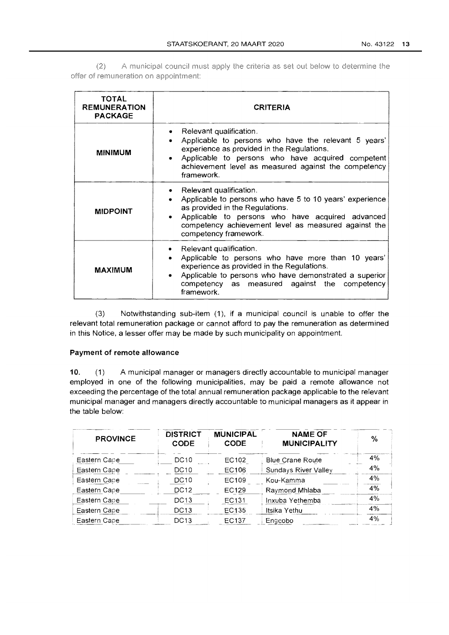A municipal council must apply the criteria as set out below to determine the  $(2)$ offer of remuneration on appointment:

| <b>TOTAL</b><br><b>REMUNERATION</b><br><b>PACKAGE</b> | <b>CRITERIA</b>                                                                                                                                                                                                                                                                |
|-------------------------------------------------------|--------------------------------------------------------------------------------------------------------------------------------------------------------------------------------------------------------------------------------------------------------------------------------|
| <b>MINIMUM</b>                                        | Relevant qualification.<br>Applicable to persons who have the relevant 5 years'<br>experience as provided in the Regulations.<br>Applicable to persons who have acquired competent<br>achievement level as measured against the competency<br>framework.                       |
| <b>MIDPOINT</b>                                       | Relevant qualification.<br>Applicable to persons who have 5 to 10 years' experience<br>as provided in the Regulations.<br>Applicable to persons who have acquired advanced<br>competency achievement level as measured against the<br>competency framework.                    |
| <b>MAXIMUM</b>                                        | Relevant qualification.<br>Applicable to persons who have more than 10 years'<br>$\bullet$<br>experience as provided in the Regulations.<br>Applicable to persons who have demonstrated a superior<br>$\bullet$<br>competency as measured against the competency<br>framework. |

(3) Notwithstanding sub-item (1). if a municipal council is unable to offer the relevant total remuneration package or cannot afford to pay the remuneration as determined in this Notice. a lesser offer may be made by such municipality on appointment.

## **Payment of remote allowance**

**10.** (1) A municipal manager or managers directly accountable to municipal manager employed in one of the following municipalities. may be paid a remote allowance not exceeding the percentage of the total annual remuneration package applicable to the relevant municipal manager and managers directly accountable to municipal managers as it appear in the table below:

| <b>PROVINCE</b> | <b>DISTRICT</b><br><b>CODE</b> | <b>MUNICIPAL</b><br><b>CODE</b> | <b>NAME OF</b><br><b>MUNICIPALITY</b> | $\frac{6}{6}$ |
|-----------------|--------------------------------|---------------------------------|---------------------------------------|---------------|
| Eastern Cape    | DC10                           | EC102                           | <b>Blue Crane Route</b>               | 4%            |
| Eastern Cape    | DC <sub>10</sub>               | EC106                           | Sundays River Valley                  | 4%            |
| Eastern Cape    | <b>DC10</b>                    | EC109                           | Kou-Kamma                             | 4%            |
| Eastern Cape    | <b>DC12</b>                    | EC129                           | Raymond Mhlaba                        | 4%            |
| Eastern Cape    | <b>DC13</b>                    | EC131                           | Inxuba Yethemba                       | 4%            |
| Eastern Cape    | <b>DC13</b>                    | EC135                           | Itsika Yethu                          | 4%            |
| Eastern Cape    | DC13                           | EC137                           | Engcobo                               | 4%            |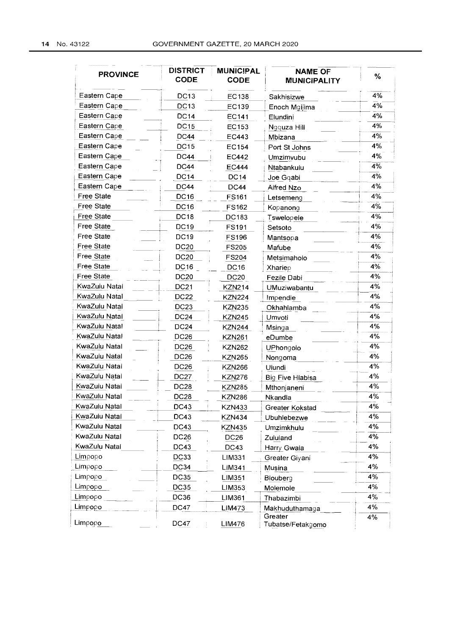| <b>PROVINCE</b>   | <b>DISTRICT</b><br><b>CODE</b> | <b>MUNICIPAL</b><br><b>CODE</b> | <b>NAME OF</b><br><b>MUNICIPALITY</b> | $\%$ |  |
|-------------------|--------------------------------|---------------------------------|---------------------------------------|------|--|
| Eastern Cape      | DC <sub>13</sub>               | EC138                           | Sakhisizwe                            | 4%   |  |
| Eastern Cape      | <b>DC13</b>                    | EC139                           | Enoch Mgijima                         | 4%   |  |
| Eastern Cape      | <b>DC14</b>                    | EC141                           | Elundini                              | 4%   |  |
| Eastern Cape      | <b>DC15</b>                    | EC153                           | Ngquza Hill                           | 4%   |  |
| Eastern Cape      | DC44                           | <b>EC443</b>                    | Mbizana                               | 4%   |  |
| Eastern Cape      | <b>DC15</b>                    | <b>EC154</b>                    | Port St Johns                         | 4%   |  |
| Eastern Cape      | DC44                           | <b>EC442</b>                    | Umzimvubu                             | 4%   |  |
| Eastern Cape      | DC44                           | <b>EC444</b>                    | Ntabankulu                            | 4%   |  |
| Eastern Cape      | <b>DC14</b>                    | <b>DC14</b>                     | Joe Gqabi                             | 4%   |  |
| Eastern Cape      | <b>DC44</b>                    | <b>DC44</b>                     | Alfred Nzo                            | 4%   |  |
| <b>Free State</b> | DC <sub>16</sub>               | <b>FS161</b>                    | Letsemeng                             | 4%   |  |
| Free State        | DC <sub>16</sub>               | <b>FS162</b>                    | Kopanong                              | 4%   |  |
| <b>Free State</b> | DC <sub>18</sub>               | DC183                           | Tswelopele                            | 4%   |  |
| Free State        | DC19                           | FS191                           | Setsoto                               | 4%   |  |
| Free State        | <b>DC19</b>                    | <b>FS196</b>                    | Mantsopa                              | 4%   |  |
| <b>Free State</b> | <b>DC20</b>                    | <b>FS205</b>                    | Mafube                                | 4%   |  |
| <b>Free State</b> | <b>DC20</b>                    | <b>FS204</b>                    | Metsimaholo                           | 4%   |  |
| <b>Free State</b> | DC16                           | <b>DC16</b>                     | Xhariep                               | 4%   |  |
| Free State        | <b>DC20</b>                    | <b>DC20</b>                     | Fezile Dabi                           | 4%   |  |
| KwaZulu Natal     | <b>DC21</b>                    | <b>KZN214</b>                   | UMuziwabantu                          | 4%   |  |
| KwaZulu Natal     | DC <sub>22</sub>               | <b>KZN224</b>                   | Impendie                              | 4%   |  |
| KwaZulu Natal     | DC <sub>23</sub>               | <b>KZN235</b>                   | Okhahlamba                            | 4%   |  |
| KwaZulu Natal     | <b>DC24</b>                    | <b>KZN245</b>                   | Umvoti                                | 4%   |  |
| KwaZulu Natal     | DC <sub>24</sub>               | <b>KZN244</b>                   | Msinga                                | 4%   |  |
| KwaZulu Natal     | DC <sub>26</sub>               | <b>KZN261</b>                   | eDumbe                                | 4%   |  |
| KwaZulu Natal     | DC <sub>26</sub>               | <b>KZN262</b>                   | UPhongolo                             | 4%   |  |
| KwaZulu Natal     | <b>DC26</b>                    | <b>KZN265</b>                   | Nongoma                               | 4%   |  |
| KwaZulu Natai     | DC <sub>26</sub>               | <b>KZN266</b>                   | Ulundi                                | 4%   |  |
| KwaZulu Natal     | DC <sub>27</sub>               | <b>KZN276</b>                   | Big Five Hiabisa                      | 4%   |  |
| KwaZulu Natal     | <b>DC28</b>                    | <b>KZN285</b>                   | Mthonjaneni                           | 4%   |  |
| KwaZulu Natal     | <b>DC28</b>                    | <b>KZN286</b>                   | Nkandla                               | 4%   |  |
| KwaZulu Natal     | DC43                           | <b>KZN433</b>                   | Greater Kokstad                       | 4%   |  |
| KwaZulu Natal     | DC43                           | <b>KZN434</b>                   | Ubuhlebezwe                           | 4%   |  |
| KwaZulu Natal     | DC43                           | <b>KZN435</b>                   | Umzimkhulu                            | 4%   |  |
| KwaZulu Natal     | DC <sub>26</sub>               | DC <sub>26</sub>                | Zululand                              | 4%   |  |
| KwaZulu Natal     | DC43                           | DC43                            | Harry Gwala                           | 4%   |  |
| Limpopo           | DC33                           | LIM331                          | Greater Giyani                        | 4%   |  |
| Limpopo           | <b>DC34</b>                    | LIM341                          | Musina                                | 4%   |  |
| Limpopo           | <b>DC35</b>                    | LIM351                          | Blouberg                              | 4%   |  |
| Limpopo           | <b>DC35</b>                    | LIM353                          | Molemole                              | 4%   |  |
| Limpopo           | DC36                           | LIM361                          | Thabazimbi                            | 4%   |  |
| Limpopo           | <b>DC47</b>                    | LIM473                          | Makhuduthamaga                        | 4%   |  |
| Limpopo           | DC47                           | LIM476                          | Greater<br>Tubatse/Fetakgomo          | 4%   |  |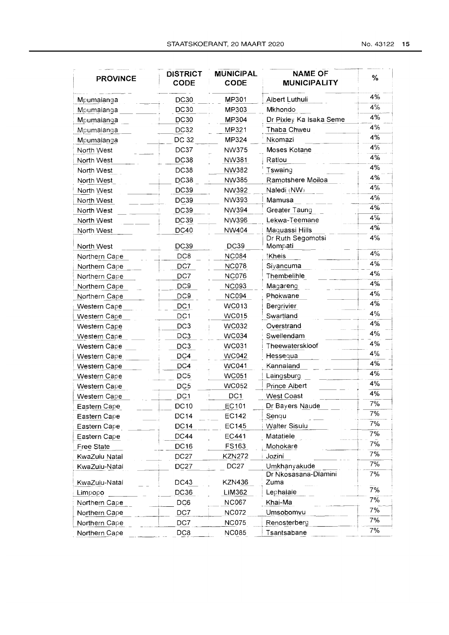| <b>PROVINCE</b>                | <b>DISTRICT</b><br><b>CODE</b> | <b>MUNICIPAL</b><br><b>CODE</b> | <b>NAME OF</b><br><b>MUNICIPALITY</b> | $\%$  |
|--------------------------------|--------------------------------|---------------------------------|---------------------------------------|-------|
| Mpumalanga                     | <b>DC30</b>                    | MP301                           | Albert Luthuli                        | 4%    |
| Mpumalanga                     | <b>DC30</b>                    | MP303                           | Mkhondo                               | $4\%$ |
| Mpumalanga                     | <b>DC30</b>                    | MP304                           | Dr Pixley Ka Isaka Seme               | 4%    |
| Mpumalanga                     | <b>DC32</b>                    | MP321                           | Thaba Chweu                           | 4%    |
| Mpumalanga                     | <b>DC 32</b>                   | MP324                           | Nkomazi                               | 4%    |
| North West                     | DC37                           | <b>NW375</b>                    | Moses Kotane                          | 4%    |
| North West                     | <b>DC38</b>                    | NW381                           | Ratlou                                | 4%    |
| North West                     | <b>DC38</b>                    | NW382                           | Tswaing                               | 4%    |
| North West                     | <b>DC38</b>                    | NW385                           | Ramotshere Moiloa                     | 4%    |
| North West                     | <b>DC39</b>                    | NW392                           | Naledi (NW)                           | 4%    |
| North West                     | <b>DC39</b>                    | NW393                           | Mamusa                                | 4%    |
| North West                     | <b>DC39</b>                    | NW394                           | Greater Taung                         | 4%    |
| North West                     | DC39                           | NW396                           | Lekwa-Teemane                         | 4%    |
| North West                     | <b>DC40</b>                    | NW404                           | Maquassi Hills                        | 4%    |
| North West                     | <b>DC39</b>                    | <b>DC39</b>                     | Dr Ruth Segomotsi<br>Mompati          | 4%    |
|                                | DC <sub>8</sub>                | <b>NC084</b>                    | !Kheis                                | 4%    |
| Northern Cape<br>Northern Cape | DC7                            | <b>NC078</b>                    | Siyancuma                             | 4%    |
| Northern Cape                  | DC7                            | <b>NC076</b>                    | Thembelihle                           | 4%    |
| Northern Cape                  | DC <sub>9</sub>                | <b>NC093</b>                    | Magareng                              | 4%    |
| Northern Cape                  | DC <sub>9</sub>                | <b>NC094</b>                    | Phokwane                              | 4%    |
| Western Cape                   | DC <sub>1</sub>                | WC013                           | Bergrivier                            | 4%    |
| Western Cape                   | DC <sub>1</sub>                | <b>WC015</b>                    | Swartland                             | 4%    |
| Western Cape                   | DC <sub>3</sub>                | <b>WC032</b>                    | Overstrand                            | 4%    |
| Western Cape                   | DC <sub>3</sub>                | <b>WC034</b>                    | Swellendam                            | 4%    |
| Western Cape                   | DC <sub>3</sub>                | <b>WC031</b>                    | Theewaterskloof                       | 4%    |
| Western Cape                   | DC4                            | <b>WC042</b>                    | Hessequa                              | 4%    |
| Western Cape                   | DC4                            | <b>WC041</b>                    | Kannaland                             | 4%    |
| Western Cape                   | DC <sub>5</sub>                | <b>WC051</b>                    | Laingsburg                            | 4%    |
| <b>Western Cape</b>            | DC <sub>5</sub>                | <b>WC052</b>                    | Prince Albert                         | 4%    |
| Western Cape                   | DC <sub>1</sub>                | DC <sub>1</sub>                 | <b>West Coast</b>                     | 4%    |
| Eastern Cape                   | DC10                           | EC101                           | Dr Bayers Naude                       | 7%    |
| Eastern Cape                   | <b>DC14</b>                    | EC142                           | Sengu                                 | 7%    |
| Eastern Cape                   | <b>DC14</b>                    | EC145                           | Walter Sisulu                         | 7%    |
| Eastern Cape                   | <b>DC44</b>                    | EC441                           | Matatiele                             | 7%    |
| Free State                     | DC <sub>16</sub>               | FS163                           | Mohokare                              | 7%    |
| KwaZulu Natal                  | DC <sub>27</sub>               | <b>KZN272</b>                   | Jozini                                | 7%    |
| KwaZulu-Natal                  | DC <sub>27</sub>               | DC <sub>27</sub>                | Umkhanyakude                          | 7%    |
|                                |                                |                                 | Dr Nkosasana-Diamini                  | 7%    |
| KwaZulu-Natal                  | DC43                           | <b>KZN436</b>                   | Zuma                                  | 7%    |
| Limpopo                        | DC36                           | LIM362                          | Lephalale                             | 7%    |
| Northern Cape                  | DC6                            | <b>NC067</b>                    | Khai-Ma                               | 7%    |
| Northern Cape                  | DC7                            | NC072                           | Umsobomvu                             | 7%    |
| Northern Cape                  | DC7                            | <b>NC075</b>                    | Renosterberg                          | 7%    |
| Northern Cape                  | DC <sub>8</sub>                | <b>NC085</b>                    | Tsantsabane                           |       |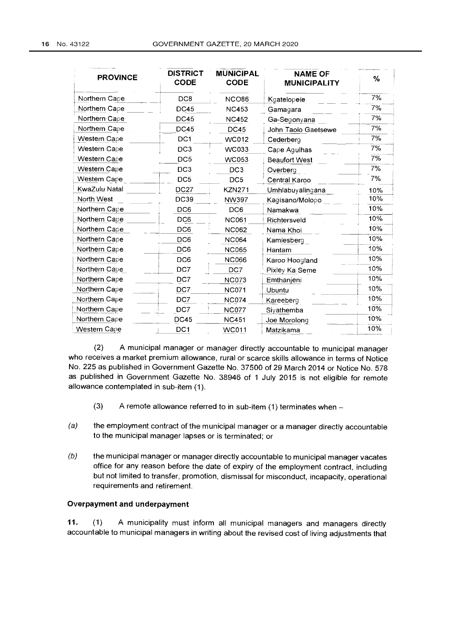| <b>PROVINCE</b>     | <b>DISTRICT</b><br><b>CODE</b> | <b>MUNICIPAL</b><br><b>CODE</b> | <b>NAME OF</b><br><b>MUNICIPALITY</b> | $\frac{9}{6}$ |
|---------------------|--------------------------------|---------------------------------|---------------------------------------|---------------|
| Northern Cape       | DC8                            | <b>NCO86</b>                    | Kgatelopele                           | 7%            |
| Northern Cape       | <b>DC45</b>                    | <b>NC453</b>                    | Gamagara                              | 7%            |
| Northern Cape       | <b>DC45</b>                    | <b>NC452</b>                    | Ga-Segonyana                          | 7%            |
| Northern Cape       | <b>DC45</b>                    | <b>DC45</b>                     | John Taolo Gaetsewe                   | 7%            |
| Western Cape        | DC <sub>1</sub>                | WC012                           | Cederberg                             | 7%            |
| Western Cape        | DC <sub>3</sub>                | <b>WC033</b>                    | Cape Agulhas                          | 7%            |
| Western Cape        | DC <sub>5</sub>                | WC053                           | <b>Beaufort West</b>                  | 7%            |
| Western Cape        | DC <sub>3</sub>                | DC <sub>3</sub>                 | Overberg                              | 7%            |
| Western Cape        | DC5                            | DC <sub>5</sub>                 | Central Karoo                         | 7%            |
| KwaZulu Natal       | <b>DC27</b>                    | <b>KZN271</b>                   | Umhlabuyalingana                      | 10%           |
| North West          | <b>DC39</b>                    | <b>NW397</b>                    | Kagisano/Molopo                       | 10%           |
| Northern Cape       | DC6                            | DC <sub>6</sub>                 | Namakwa                               | $10\%$        |
| Northern Cape       | DC6                            | <b>NC061</b>                    | Richtersveld                          | 10%           |
| Northern Cape       | DC <sub>6</sub>                | <b>NC062</b>                    | Nama Khoi                             | 10%           |
| Northern Cape       | DC6                            | <b>NC064</b>                    | Kamiesberg                            | 10%           |
| Northern Cape       | DC6                            | <b>NC065</b>                    | Hantam                                | 10%           |
| Northern Cape       | DC6                            | <b>NC066</b>                    | Karoo Hoogland                        | 10%           |
| Northern Cape       | DC7                            | DC7                             | Pixley Ka Seme                        | 10%           |
| Northern Cape       | DC7                            | <b>NC073</b>                    | Emthanjeni                            | 10%           |
| Northern Cape       | DC7                            | <b>NC071</b>                    | Ubuntu                                | 10%           |
| Northern Cape       | DC7                            | <b>NC074</b>                    | Kareeberg                             | 10%           |
| Northern Cape       | DC7                            | <b>NC077</b>                    | Siyathemba                            | 10%           |
| Northern Cape       | <b>DC45</b>                    | <b>NC451</b>                    | Joe Morolong                          | 10%           |
| <b>Western Cape</b> | DC <sub>1</sub>                | <b>WC011</b>                    | Matzikama                             | 10%           |

 $(2)$ A municipal manager or manager directly accountable to municipal manager who receives a market premium allowance, rural or scarce skills allowance in terms of Notice No. 225 as published in Government Gazette No. 37500 of 29 March 2014 or Notice No. 578 as published in Government Gazette No. 38946 of 1 July 2015 is not eligible for remote allowance contemplated in sub-item (1).

- $(3)$ A remote allowance referred to in sub-item (1) terminates when  $-$
- $(a)$ the employment contract of the municipal manager or a manager directly accountable to the municipal manager lapses or is terminated; or
- $(b)$ the municipal manager or manager directly accountable to municipal manager vacates office for any reason before the date of expiry of the employment contract, including but not limited to transfer, promotion, dismissal for misconduct, incapacity, operational requirements and retirement.

## Overpayment and underpayment

A municipality must inform all municipal managers and managers directly  $11.$  $(1)$ accountable to municipal managers in writing about the revised cost of living adjustments that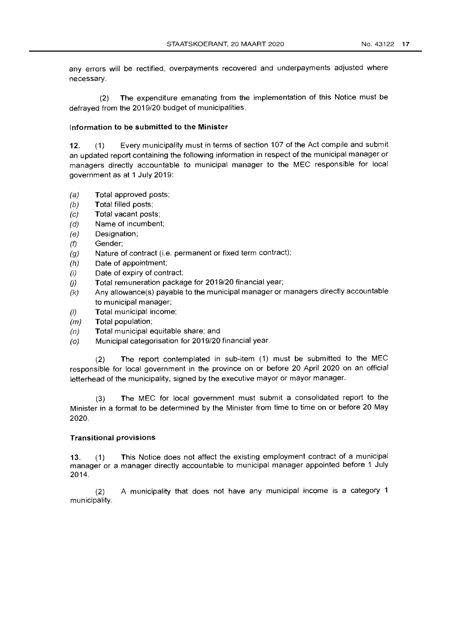any errors will be rectified, overpayments recovered and underpayments adjusted where necessary.

(2) **The** expenditure emanating from the implementation of this Notice must be defrayed from the 2019/20 budget of municipalities.

#### **Information to be submitted to the Minister**

12. (1) Every municipality must in terms of section 107 of the Act compile and submit an updated report containing the following information in respect of the municipal manager or managers directly accountable to municipal manager to the MEC responsible for local government as at 1 July 2019:

- (a) Total approved posts;
- (b) Total filled posts;
- (c) Total vacant posts;
- (d) Name of incumbent;
- (e) Designation;
- (f) Gender;
- $(q)$  Nature of contract (i.e. permanent or fixed term contract);
- (h) Date of appointment;
- (i) Date of expiry of contract;
- (j) Total remuneration package for 2019/20 financial year;
- $(k)$  Any allowance(s) payable to the municipal manager or managers directly accountable to municipal manager;
- (/) Total municipal income;
- (*m*) Total population;
- $(n)$  Total municipal equitable share; and
- (0) Municipal categorisation for 2019/20 financial year.

(2) **The** report contemplated in sub-item (1) must be submitted to the MEC responsible for local government in the province on or before 20 April 2020 on an official letterhead of the municipality, signed by the executive mayor or mayor manager.

(3) **The** MEC for local government must submit a consolidated report to the Minister in a format to be determined by the Minister from time to time on or before 20 May 2020.

#### **Transitional provisions**

13. (1) This Notice does not affect the existing employment contract of a municipal manager or a manager directly accountable to municipal manager appointed before 1 July 2014.

(2) A municipality that does not have any municipal income is a category 1 municipality.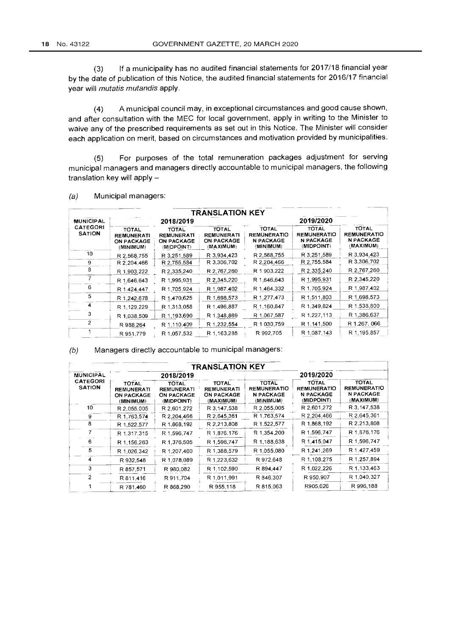(3) If a municipality has no audited financial statements for 2017/18 financial year by the date of publication of this Notice, the audited financial statements for 2016/17 financial year will mutatis mutandis apply.

(4) A municipal council may, in exceptional circumstances and good cause shown, and after consultation with the MEC for local government, apply in writing to the Minister to waive any of the prescribed requirements as set out in this Notice. The Minister will consider each application on merit, based on circumstances and motivation provided by municipalities.

(5) For purposes of the total remuneration packages adjustment for serving municipal managers and managers directly accountable to municipal managers, the following translation key will apply  $-$ 

| <b>TRANSLATION KEY</b>    |                                                                     |                                                                      |                                                                     |                                                                     |                                                                      |                                                              |  |
|---------------------------|---------------------------------------------------------------------|----------------------------------------------------------------------|---------------------------------------------------------------------|---------------------------------------------------------------------|----------------------------------------------------------------------|--------------------------------------------------------------|--|
| <b>MUNICIPAL</b>          |                                                                     | 2018/2019                                                            |                                                                     | 2019/2020                                                           |                                                                      |                                                              |  |
| CATEGORI<br><b>SATION</b> | <b>TOTAL</b><br><b>REMUNERATI</b><br><b>ON PACKAGE</b><br>(MINIMUM) | <b>TOTAL</b><br><b>REMUNERATI</b><br><b>ON PACKAGE</b><br>(MIDPOINT) | <b>TOTAL</b><br><b>REMUNERATI</b><br><b>ON PACKAGE</b><br>(MAXIMUM) | <b>TOTAL</b><br><b>REMUNERATIO</b><br><b>N PACKAGE</b><br>(MINIMUM) | <b>TOTAL</b><br><b>REMUNERATIO</b><br><b>N PACKAGE</b><br>(MIDPOINT) | <b>TOTAL</b><br><b>REMUNERATIO</b><br>N PACKAGE<br>(MAXIMUM) |  |
| 10                        | R 2,568,755                                                         | R 3.251.589                                                          | R 3.934,423                                                         | R 2.568,755                                                         | R 3,251,589                                                          | R 3.934,423                                                  |  |
| 9                         | R 2.204.466                                                         | R 2,755,584                                                          | R 3,306,702                                                         | R 2,204,466                                                         | R 2.755.584                                                          | R 3,306,702                                                  |  |
| 8                         | R 1.903.222                                                         | R 2,335,240                                                          | R 2,767,260                                                         | R 1.903,222                                                         | R 2.335.240                                                          | R 2,767,260                                                  |  |
|                           | R 1.646.643                                                         | R 1,995,931                                                          | R 2,345,220                                                         | R 1,646,643                                                         | R 1,995,931                                                          | R 2.345.220                                                  |  |
| 6                         | R 1.424.447                                                         | R 1,705.924                                                          | R 1,987.402                                                         | R 1,464,332                                                         | R 1.705.924                                                          | R 1,987,402                                                  |  |
| 5                         | R 1,242.678                                                         | R 1.470,625                                                          | R 1,698,573                                                         | R 1,277,473                                                         | R 1.511.803                                                          | R 1.698.573                                                  |  |
| 4                         | R 1.129.229                                                         | R 1.313.058                                                          | R 1.496.887                                                         | R 1,160,847                                                         | R 1.349.824                                                          | R 1,538,800                                                  |  |
| 3                         | R 1,038,509                                                         | R 1,193,690                                                          | R 1,348,869                                                         | R 1.067,587                                                         | R 1,227,113                                                          | R 1.386,637                                                  |  |
| 2                         | R 988.264                                                           | R 1.110,409                                                          | R 1,232,554                                                         | R 1 030,759                                                         | R 1.141.500                                                          | R 1.267, 066                                                 |  |
|                           | R 951,779                                                           | R 1.057.532                                                          | R 1.163.285                                                         | R 992.705                                                           | R 1,087,143                                                          | R 1,195,857                                                  |  |

(a) Municipal managers:

(b) Managers directly accountable to municipal managers:

|                                  |                                                                     |                                                                      | <b>TRANSLATION KEY</b>                                              |                                                                     |                                                                      |                                                                     |
|----------------------------------|---------------------------------------------------------------------|----------------------------------------------------------------------|---------------------------------------------------------------------|---------------------------------------------------------------------|----------------------------------------------------------------------|---------------------------------------------------------------------|
| <b>MUNICIPAL</b>                 |                                                                     | 2018/2019                                                            |                                                                     |                                                                     |                                                                      |                                                                     |
| <b>CATEGORI</b><br><b>SATION</b> | <b>TOTAL</b><br><b>REMUNERATI</b><br><b>ON PACKAGE</b><br>(MINIMUM) | <b>TOTAL</b><br><b>REMUNERATI</b><br><b>ON PACKAGE</b><br>(MIDPOINT) | <b>TOTAL</b><br><b>REMUNERATI</b><br><b>ON PACKAGE</b><br>(MAXIMUM) | <b>TOTAL</b><br><b>REMUNERATIO</b><br><b>N PACKAGE</b><br>(MINIMUM) | <b>TOTAL</b><br><b>REMUNERATIO</b><br><b>N PACKAGE</b><br>(MIDPOINT) | <b>TOTAL</b><br><b>REMUNERATIO</b><br><b>N PACKAGE</b><br>(MAXIMUM) |
| 10 <sup>°</sup>                  | R 2.055.005                                                         | R 2.601.272                                                          | R 3.147,538                                                         | R 2.055.005                                                         | R 2.601,272                                                          | R 3, 147, 538                                                       |
| 9                                | R 1,763,574                                                         | R 2.204.466                                                          | R 2.645,361                                                         | R 1,763,574                                                         | R 2.204.466                                                          | R 2.645,361                                                         |
| 8                                | R 1,522,577                                                         | R 1.868.192                                                          | R 2.213.808                                                         | R 1.522,577                                                         | R 1,868,192                                                          | R 2,213,808                                                         |
|                                  | R 1.317.315                                                         | R 1,596,747                                                          | R 1,876.176                                                         | R 1.354.200                                                         | R 1,596,747                                                          | R 1,876,176                                                         |
| 6.                               | R 1.156.263                                                         | R 1,376,505                                                          | R 1.596.747                                                         | R 1,188,638                                                         | R 1,415.047                                                          | R 1,596,747                                                         |
| 5                                | R 1.026.342                                                         | R 1.207,460                                                          | R 1,388,579                                                         | R 1.055.080                                                         | R 1.241.269                                                          | R 1.427.459                                                         |
| 4                                | R 932,548                                                           | R 1,078,089                                                          | R 1,223,632                                                         | R 972,648                                                           | R 1,108,275                                                          | R 1.257.894                                                         |
| 3                                | R 857,571                                                           | R 980.082                                                            | R 1.102.590                                                         | R 894.447                                                           | R 1,022,226                                                          | R 1.133,463                                                         |
| 2                                | R 811.416                                                           | R 911,704                                                            | R 1,011,991                                                         | R 846.307                                                           | R 950,907                                                            | R 1,040,327                                                         |
|                                  | R 781,460                                                           | R 868.290                                                            | R 955,118                                                           | R 815,063                                                           | R905.626                                                             | R 996,188                                                           |